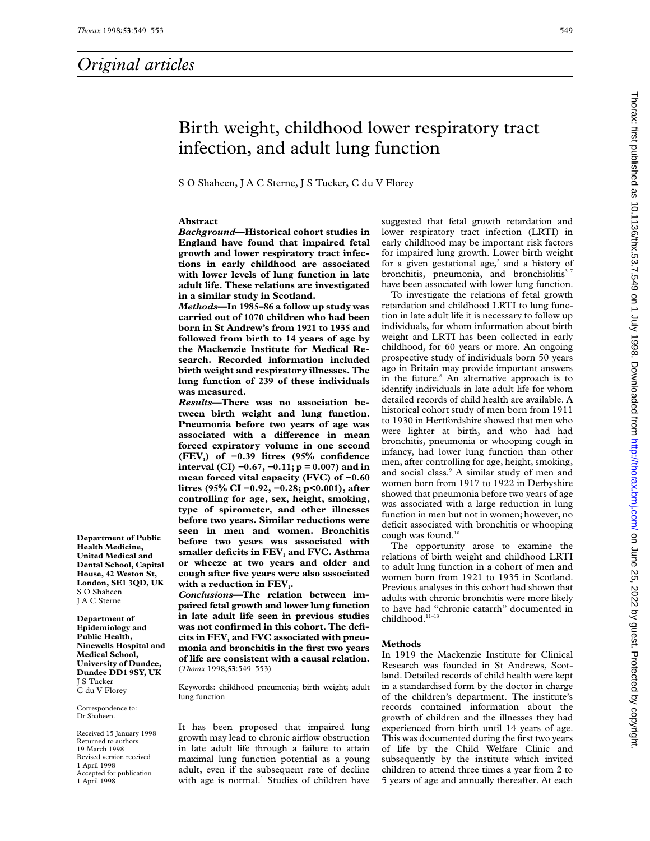# Birth weight, childhood lower respiratory tract infection, and adult lung function

S O Shaheen, J A C Sterne, J S Tucker, C du V Florey

### **Abstract**

*Background***—Historical cohort studies in England have found that impaired fetal growth and lower respiratory tract infections in early childhood are associated with lower levels of lung function in late adult life. These relations are investigated in a similar study in Scotland.**

*Methods***—In 1985–86 a follow up study was carried out of 1070 children who had been born in St Andrew's from 1921 to 1935 and followed from birth to 14 years of age by the Mackenzie Institute for Medical Research. Recorded information included birth weight and respiratory illnesses. The lung function of 239 of these individuals was measured.**

*Results***—There was no association between birth weight and lung function. Pneumonia before two years of age was** associated with a difference in mean **forced expiratory volume in one second (FEV1) of −0.39 litres (95% confidence interval (CI)** *−***0.67,** *−***0.11; p = 0.007) and in mean forced vital capacity (FVC) of −0.60 litres (95% CI −0.92, −0.28; p<0.001), after controlling for age, sex, height, smoking, type of spirometer, and other illnesses before two years. Similar reductions were seen in men and women. Bronchitis before two years was associated with** smaller deficits in FEV<sub>1</sub> and FVC. Asthma **or wheeze at two years and older and cough after five years were also associated** with a reduction in FEV<sub>1</sub>.

*Conclusions***—The relation between impaired fetal growth and lower lung function in late adult life seen in previous studies was not confirmed in this cohort. The defi**cits in FEV<sub>1</sub> and FVC associated with pneu**monia and bronchitis in the first two years of life are consistent with a causal relation.** (*Thorax* 1998;**53**:549–553)

Keywords: childhood pneumonia; birth weight; adult lung function

It has been proposed that impaired lung growth may lead to chronic airflow obstruction in late adult life through a failure to attain maximal lung function potential as a young adult, even if the subsequent rate of decline with age is normal.<sup>1</sup> Studies of children have

suggested that fetal growth retardation and lower respiratory tract infection (LRTI) in early childhood may be important risk factors for impaired lung growth. Lower birth weight for a given gestational age, $2$  and a history of bronchitis, pneumonia, and bronchiolitis $3-7$ have been associated with lower lung function.

To investigate the relations of fetal growth retardation and childhood LRTI to lung function in late adult life it is necessary to follow up individuals, for whom information about birth weight and LRTI has been collected in early childhood, for 60 years or more. An ongoing prospective study of individuals born 50 years ago in Britain may provide important answers in the future.<sup>8</sup> An alternative approach is to identify individuals in late adult life for whom detailed records of child health are available. A historical cohort study of men born from 1911 to 1930 in Hertfordshire showed that men who were lighter at birth, and who had had bronchitis, pneumonia or whooping cough in infancy, had lower lung function than other men, after controlling for age, height, smoking, and social class.<sup>9</sup> A similar study of men and women born from 1917 to 1922 in Derbyshire showed that pneumonia before two years of age was associated with a large reduction in lung function in men but not in women; however, no deficit associated with bronchitis or whooping cough was found.10

The opportunity arose to examine the relations of birth weight and childhood LRTI to adult lung function in a cohort of men and women born from 1921 to 1935 in Scotland. Previous analyses in this cohort had shown that adults with chronic bronchitis were more likely to have had "chronic catarrh" documented in childhood.<sup>11-13</sup>

#### **Methods**

In 1919 the Mackenzie Institute for Clinical Research was founded in St Andrews, Scotland. Detailed records of child health were kept in a standardised form by the doctor in charge of the children's department. The institute's records contained information about the growth of children and the illnesses they had experienced from birth until 14 years of age. This was documented during the first two years of life by the Child Welfare Clinic and subsequently by the institute which invited children to attend three times a year from 2 to 5 years of age and annually thereafter. At each

**Department of Public Health Medicine, United Medical and Dental School, Capital House, 42 Weston St, London, SE1 3QD, UK** S O Shaheen J A C Sterne

**Department of Epidemiology and Public Health, Ninewells Hospital and Medical School, University of Dundee, Dundee DD1 9SY, UK** J S Tucker C du V Florey

Correspondence to: Dr Shaheen.

Received 15 January 1998 Returned to authors 19 March 1998 Revised version received 1 April 1998 Accepted for publication 1 April 1998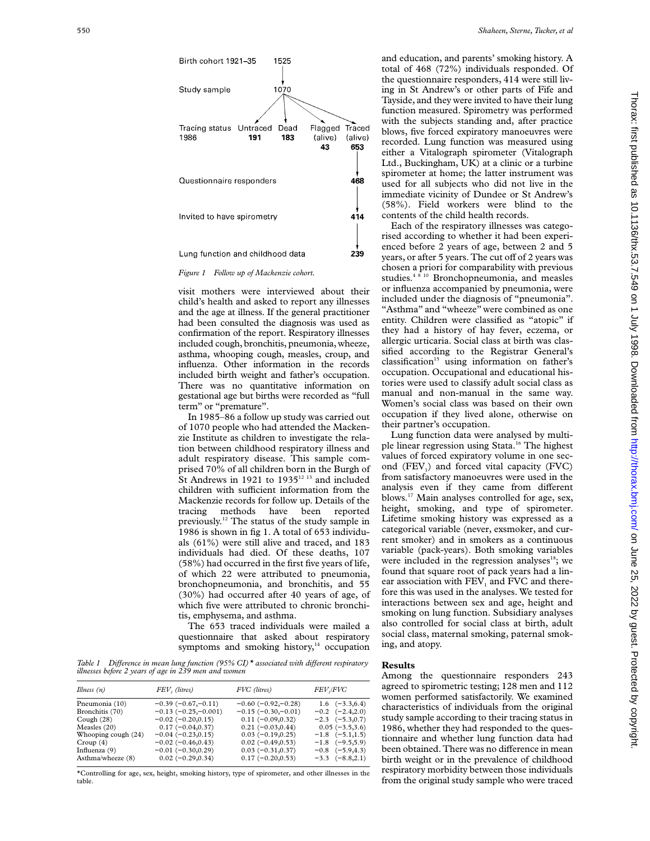

*Figure 1 Follow up of Mackenzie cohort.*

visit mothers were interviewed about their child's health and asked to report any illnesses and the age at illness. If the general practitioner had been consulted the diagnosis was used as confirmation of the report. Respiratory illnesses included cough, bronchitis, pneumonia, wheeze, asthma, whooping cough, measles, croup, and influenza. Other information in the records included birth weight and father's occupation. There was no quantitative information on gestational age but births were recorded as "full term" or "premature".

In 1985–86 a follow up study was carried out of 1070 people who had attended the Mackenzie Institute as children to investigate the relation between childhood respiratory illness and adult respiratory disease. This sample comprised 70% of all children born in the Burgh of St Andrews in 1921 to 1935 $12$  13 and included children with sufficient information from the Mackenzie records for follow up. Details of the tracing methods have been reported previously.12 The status of the study sample in 1986 is shown in fig 1. A total of 653 individuals (61%) were still alive and traced, and 183 individuals had died. Of these deaths, 107 (58%) had occurred in the first five years of life, of which 22 were attributed to pneumonia, bronchopneumonia, and bronchitis, and 55 (30%) had occurred after 40 years of age, of which five were attributed to chronic bronchitis, emphysema, and asthma.

The 653 traced individuals were mailed a questionnaire that asked about respiratory symptoms and smoking history, $14$  occupation

*Table 1 Difference in mean lung function (95% CI)*\* associated with different respiratory *illnesses before 2 years of age in 239 men and women*

| Illness $(n)$       | FEV, (litres)            | FVC (litres)         | <b>FEV</b> ,/FVC        |
|---------------------|--------------------------|----------------------|-------------------------|
| Pneumonia (10)      | $-0.39(-0.67,-0.11)$     | $-0.60(-0.92,-0.28)$ | $1.6 \quad (-3.3, 6.4)$ |
| Bronchitis (70)     | $-0.13(-0.25,-0.001)$    | $-0.15(-0.30,-0.01)$ | $-0.2$ $(-2.4,2.0)$     |
| Cough $(28)$        | $-0.02$ ( $-0.20,0.15$ ) | $0.11(-0.09, 0.32)$  | $-2.3$ $(-5.3, 0.7)$    |
| Measles $(20)$      | $0.17(-0.04, 0.37)$      | $0.21(-0.03, 0.44)$  | $0.05(-3.5,3.6)$        |
| Whooping cough (24) | $-0.04(-0.23, 0.15)$     | $0.03(-0.19, 0.25)$  | $-1.8$ $(-5.1,1.5)$     |
| Croup $(4)$         | $-0.02(-0.46, 0.43)$     | $0.02(-0.49, 0.53)$  | $-1.8$ $(-9.5,5.9)$     |
| Influenza $(9)$     | $-0.01(-0.30, 0.29)$     | $0.03(-0.31, 0.37)$  | $-0.8$ $(-5.9, 4.3)$    |
| Asthma/wheeze (8)   | $0.02(-0.29, 0.34)$      | $0.17(-0.20, 0.53)$  | $-3.3$ $(-8.8,2.1)$     |

\*Controlling for age, sex, height, smoking history, type of spirometer, and other illnesses in the table.

and education, and parents' smoking history. A total of 468 (72%) individuals responded. Of the questionnaire responders, 414 were still living in St Andrew's or other parts of Fife and Tayside, and they were invited to have their lung function measured. Spirometry was performed with the subjects standing and, after practice blows, five forced expiratory manoeuvres were recorded. Lung function was measured using either a Vitalograph spirometer (Vitalograph Ltd., Buckingham, UK) at a clinic or a turbine spirometer at home; the latter instrument was used for all subjects who did not live in the immediate vicinity of Dundee or St Andrew's (58%). Field workers were blind to the contents of the child health records.

Each of the respiratory illnesses was categorised according to whether it had been experienced before 2 years of age, between 2 and 5 years, or after 5 years. The cut off of 2 years was chosen a priori for comparability with previous studies.<sup>48 10</sup> Bronchopneumonia, and measles or influenza accompanied by pneumonia, were included under the diagnosis of "pneumonia". "Asthma" and "wheeze" were combined as one entity. Children were classified as "atopic" if they had a history of hay fever, eczema, or allergic urticaria. Social class at birth was classified according to the Registrar General's  $classification<sup>15</sup>$  using information on father's occupation. Occupational and educational histories were used to classify adult social class as manual and non-manual in the same way. Women's social class was based on their own occupation if they lived alone, otherwise on their partner's occupation.

Lung function data were analysed by multiple linear regression using Stata.16 The highest values of forced expiratory volume in one second  $(FEV<sub>1</sub>)$  and forced vital capacity  $(FVC)$ from satisfactory manoeuvres were used in the analysis even if they came from different blows.17 Main analyses controlled for age, sex, height, smoking, and type of spirometer. Lifetime smoking history was expressed as a categorical variable (never, exsmoker, and current smoker) and in smokers as a continuous variable (pack-years). Both smoking variables were included in the regression analyses<sup>18</sup>; we found that square root of pack years had a linear association with  $FEV<sub>1</sub>$  and  $FVC$  and therefore this was used in the analyses. We tested for interactions between sex and age, height and smoking on lung function. Subsidiary analyses also controlled for social class at birth, adult social class, maternal smoking, paternal smoking, and atopy.

## **Results**

Among the questionnaire responders 243 agreed to spirometric testing; 128 men and 112 women performed satisfactorily. We examined characteristics of individuals from the original study sample according to their tracing status in 1986, whether they had responded to the questionnaire and whether lung function data had been obtained. There was no difference in mean birth weight or in the prevalence of childhood respiratory morbidity between those individuals from the original study sample who were traced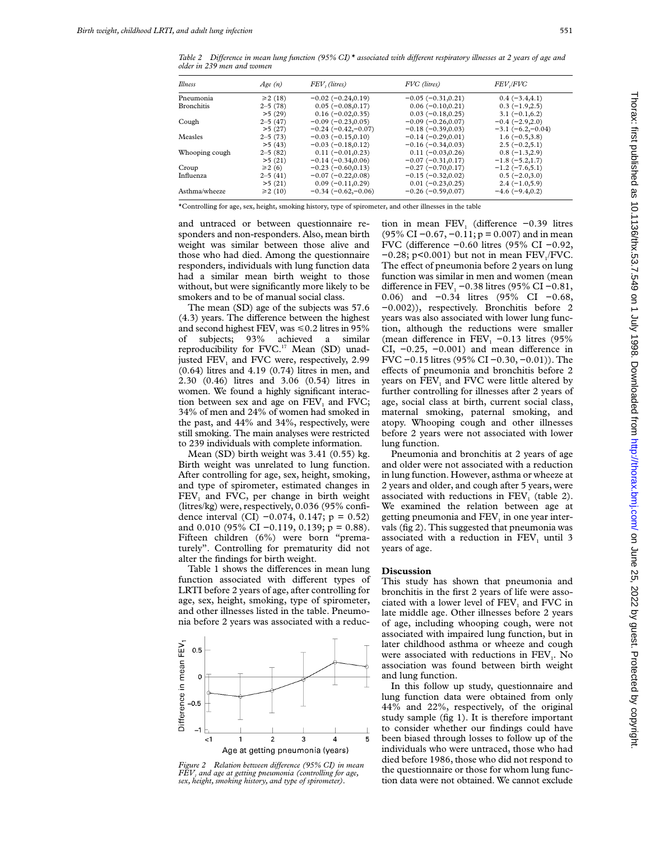*Table 2 DiVerence in mean lung function (95% CI)\* associated with diVerent respiratory illnesses at 2 years of age and older in 239 men and women*

| Illness        | Age(n)      | FEV, (litres)        | FVC (litres)         | <b>FEV</b> ,/ <b>FVC</b> |
|----------------|-------------|----------------------|----------------------|--------------------------|
| Pneumonia      | ≥2(18)      | $-0.02(-0.24, 0.19)$ | $-0.05(-0.31, 0.21)$ | $0.4(-3.4, 4.1)$         |
| Bronchitis     | $2 - 5(78)$ | $0.05(-0.08, 0.17)$  | $0.06(-0.10, 0.21)$  | $0.3(-1.9,2.5)$          |
|                | >5(29)      | $0.16(-0.02, 0.35)$  | $0.03(-0.18, 0.25)$  | $3.1(-0.1,6.2)$          |
| Cough          | $2 - 5(47)$ | $-0.09(-0.23, 0.05)$ | $-0.09(-0.26, 0.07)$ | $-0.4(-2.9,2.0)$         |
|                | >5(27)      | $-0.24(-0.42,-0.07)$ | $-0.18(-0.39, 0.03)$ | $-3.1(-6.2,-0.04)$       |
| Measles        | $2 - 5(73)$ | $-0.03(-0.15, 0.10)$ | $-0.14(-0.29, 0.01)$ | $1.6(-0.5,3.8)$          |
|                | >5(43)      | $-0.03(-0.18, 0.12)$ | $-0.16(-0.34, 0.03)$ | $2.5(-0.2,5.1)$          |
| Whooping cough | $2 - 5(82)$ | $0.11(-0.01, 0.23)$  | $0.11(-0.03, 0.26)$  | $0.8(-1.3,2.9)$          |
|                | >5(21)      | $-0.14(-0.34, 0.06)$ | $-0.07(-0.31, 0.17)$ | $-1.8(-5.2,1.7)$         |
| Croup          | $\geq 2(6)$ | $-0.23(-0.60, 0.13)$ | $-0.27(-0.70, 0.17)$ | $-1.2(-7.6,5.1)$         |
| Influenza      | $2 - 5(41)$ | $-0.07(-0.22,0.08)$  | $-0.15(-0.32,0.02)$  | $0.5(-2.0,3.0)$          |
|                | >5(21)      | $0.09(-0.11, 0.29)$  | $0.01(-0.23, 0.25)$  | $2.4(-1.0,5.9)$          |
| Asthma/wheeze  | ≥2(10)      | $-0.34(-0.62,-0.06)$ | $-0.26(-0.59, 0.07)$ | $-4.6(-9.4,0.2)$         |

\*Controlling for age, sex, height, smoking history, type of spirometer, and other illnesses in the table

and untraced or between questionnaire responders and non-responders. Also, mean birth weight was similar between those alive and those who had died. Among the questionnaire responders, individuals with lung function data had a similar mean birth weight to those without, but were significantly more likely to be smokers and to be of manual social class.

The mean (SD) age of the subjects was 57.6  $(4.3)$  years. The difference between the highest and second highest  $\text{FEV}_1$  was  $\leq 0.2$  litres in 95%<br>of subjects; 93% achieved a similar of subjects; 93% achieved a similar reproducibility for FVC.<sup>17</sup> Mean (SD) unadjusted  $FEV<sub>1</sub>$  and  $FVC$  were, respectively, 2.99 (0.64) litres and 4.19 (0.74) litres in men, and 2.30 (0.46) litres and 3.06 (0.54) litres in women. We found a highly significant interaction between sex and age on  $FEV<sub>1</sub>$  and  $FVC$ ; 34% of men and 24% of women had smoked in the past, and 44% and 34%, respectively, were still smoking. The main analyses were restricted to 239 individuals with complete information.

Mean (SD) birth weight was 3.41 (0.55) kg. Birth weight was unrelated to lung function. After controlling for age, sex, height, smoking, and type of spirometer, estimated changes in  $FEV<sub>1</sub>$  and FVC, per change in birth weight (litres/kg) were, respectively, 0.036 (95% confidence interval (CI)  $-0.074$ , 0.147; p = 0.52) and 0.010 (95% CI –0.119, 0.139; p = 0.88). Fifteen children (6%) were born "prematurely". Controlling for prematurity did not alter the findings for birth weight.

Table 1 shows the differences in mean lung function associated with different types of LRTI before 2 years of age, after controlling for age, sex, height, smoking, type of spirometer, and other illnesses listed in the table. Pneumonia before 2 years was associated with a reduc-



*Figure 2* Relation between difference (95% CI) in mean *FEV1 and age at getting pneumonia (controlling for age, sex, height, smoking history, and type of spirometer).*

tion in mean FEV<sub>1</sub> (difference −0.39 litres (95% CI −0.67, −0.11; p = 0.007) and in mean FVC (difference  $-0.60$  litres (95% CI  $-0.92$ ,  $-0.28$ ; p<0.001) but not in mean FEV<sub>1</sub>/FVC. The effect of pneumonia before 2 years on lung function was similar in men and women (mean difference in FEV<sub>1</sub> −0.38 litres (95% CI −0.81, 0.06) and −0.34 litres (95% CI −0.68, −0.002)), respectively. Bronchitis before 2 years was also associated with lower lung function, although the reductions were smaller (mean difference in FEV<sub>1</sub> −0.13 litres (95%) CI,  $-0.25$ ,  $-0.001$ ) and mean difference in FVC −0.15 litres (95% CI −0.30, −0.01)). The effects of pneumonia and bronchitis before 2 years on FEV<sub>1</sub> and FVC were little altered by further controlling for illnesses after 2 years of age, social class at birth, current social class, maternal smoking, paternal smoking, and atopy. Whooping cough and other illnesses before 2 years were not associated with lower lung function.

Pneumonia and bronchitis at 2 years of age and older were not associated with a reduction in lung function. However, asthma or wheeze at 2 years and older, and cough after 5 years, were associated with reductions in  $FEV<sub>1</sub>$  (table 2). We examined the relation between age at getting pneumonia and  $FEV<sub>1</sub>$  in one year intervals (fig 2). This suggested that pneumonia was associated with a reduction in  $FEV<sub>1</sub>$  until 3 years of age.

#### **Discussion**

This study has shown that pneumonia and bronchitis in the first 2 years of life were associated with a lower level of FEV<sub>1</sub> and FVC in late middle age. Other illnesses before 2 years of age, including whooping cough, were not associated with impaired lung function, but in later childhood asthma or wheeze and cough were associated with reductions in  $FEV<sub>1</sub>$ . No association was found between birth weight and lung function.

In this follow up study, questionnaire and lung function data were obtained from only 44% and 22%, respectively, of the original study sample (fig 1). It is therefore important to consider whether our findings could have been biased through losses to follow up of the individuals who were untraced, those who had died before 1986, those who did not respond to the questionnaire or those for whom lung function data were not obtained. We cannot exclude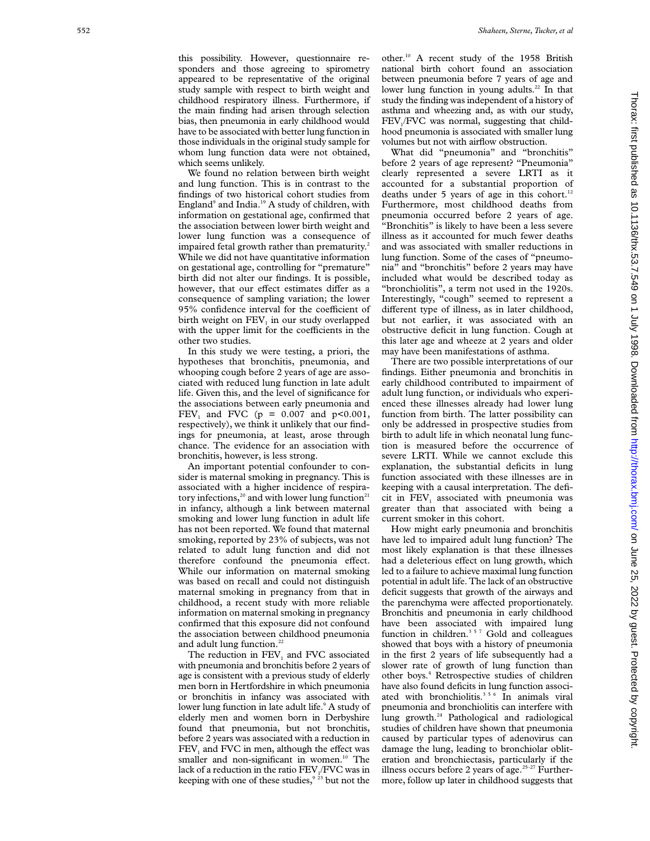We found no relation between birth weight and lung function. This is in contrast to the findings of two historical cohort studies from England<sup>9</sup> and India.<sup>19</sup> A study of children, with information on gestational age, confirmed that the association between lower birth weight and lower lung function was a consequence of impaired fetal growth rather than prematurity.<sup>2</sup> While we did not have quantitative information on gestational age, controlling for "premature" birth did not alter our findings. It is possible, however, that our effect estimates differ as a consequence of sampling variation; the lower 95% confidence interval for the coefficient of birth weight on FEV <sup>1</sup> in our study overlapped with the upper limit for the coefficients in the other two studies.

In this study we were testing, a priori, the hypotheses that bronchitis, pneumonia, and whooping cough before 2 years of age are associated with reduced lung function in late adult life. Given this, and the level of significance for the associations between early pneumonia and  $FEV_1$  and  $FVC$  (p = 0.007 and p<0.001, respectively), we think it unlikely that our findings for pneumonia, at least, arose through chance. The evidence for an association with bronchitis, however, is less strong.

An important potential confounder to consider is maternal smoking in pregnancy. This is associated with a higher incidence of respiratory infections,<sup>20</sup> and with lower lung function<sup>21</sup> in infancy, although a link between maternal smoking and lower lung function in adult life has not been reported. We found that maternal smoking, reported by 23% of subjects, was not related to adult lung function and did not therefore confound the pneumonia effect. While our information on maternal smoking was based on recall and could not distinguish maternal smoking in pregnancy from that in childhood, a recent study with more reliable information on maternal smoking in pregnancy confirmed that this exposure did not confound the association between childhood pneumonia and adult lung function.<sup>22</sup>

The reduction in FEV <sup>1</sup> and FVC associated with pneumonia and bronchitis before 2 years of age is consistent with a previous study of elderly men born in Hertfordshire in which pneumonia or bronchitis in infancy was associated with lower lung function in late adult life. <sup>9</sup> A study of elderly men and women born in Derbyshire found that pneumonia, but not bronchitis, before 2 years was associated with a reduction in  $FEV<sub>1</sub>$  and FVC in men, although the effect was smaller and non-significant in women.<sup>10</sup> The lack of a reduction in the ratio FEV 1/FVC was in keeping with one of these studies, $9^{23}$  but not the

other.10 A recent study of the 1958 British national birth cohort found an association between pneumonia before 7 years of age and lower lung function in young adults.<sup>22</sup> In that study the finding was independent of a history of asthma and wheezing and, as with our study, FEV 1/FVC was normal, suggesting that childhood pneumonia is associated with smaller lung volumes but not with airflow obstruction.

What did "pneumonia" and "bronchitis" before 2 years of age represent? "Pneumonia" clearly represented a severe LRTI as it accounted for a substantial proportion of deaths under 5 years of age in this cohort.<sup>12</sup> Furthermore, most childhood deaths from pneumonia occurred before 2 years of age. "Bronchitis" is likely to have been a less severe illness as it accounted for much fewer deaths and was associated with smaller reductions in lung function. Some of the cases of "pneumonia" and "bronchitis" before 2 years may have included what would be described today as "bronchiolitis", a term not used in the 1920s. Interestingly, "cough" seemed to represent a di Verent type of illness, as in later childhood, but not earlier, it was associated with an obstructive deficit in lung function. Cough at this later age and wheeze at 2 years and older may have been manifestations of asthma.

There are two possible interpretations of our findings. Either pneumonia and bronchitis in early childhood contributed to impairment of adult lung function, or individuals who experienced these illnesses already had lower lung function from birth. The latter possibility can only be addressed in prospective studies from birth to adult life in which neonatal lung function is measured before the occurrence of severe LRTI. While we cannot exclude this explanation, the substantial deficits in lung function associated with these illnesses are in keeping with a causal interpretation. The deficit in FEV<sub>1</sub> associated with pneumonia was greater than that associated with being a current smoker in this cohort.

How might early pneumonia and bronchitis have led to impaired adult lung function? The most likely explanation is that these illnesses had a deleterious effect on lung growth, which led to a failure to achieve maximal lung function potential in adult life. The lack of an obstructive deficit suggests that growth of the airways and the parenchyma were affected proportionately. Bronchitis and pneumonia in early childhood have been associated with impaired lung function in children. $357$  Gold and colleagues showed that boys with a history of pneumonia in the first 2 years of life subsequently had a slower rate of growth of lung function than other boys. <sup>4</sup> Retrospective studies of children have also found deficits in lung function associated with bronchiolitis.<sup>356</sup> In animals viral pneumonia and bronchiolitis can interfere with lung growth.24 Pathological and radiological studies of children have shown that pneumonia caused by particular types of adenovirus can damage the lung, leading to bronchiolar obliteration and bronchiectasis, particularly if the illness occurs before 2 years of age.<sup>25-27</sup> Furthermore, follow up later in childhood suggests that